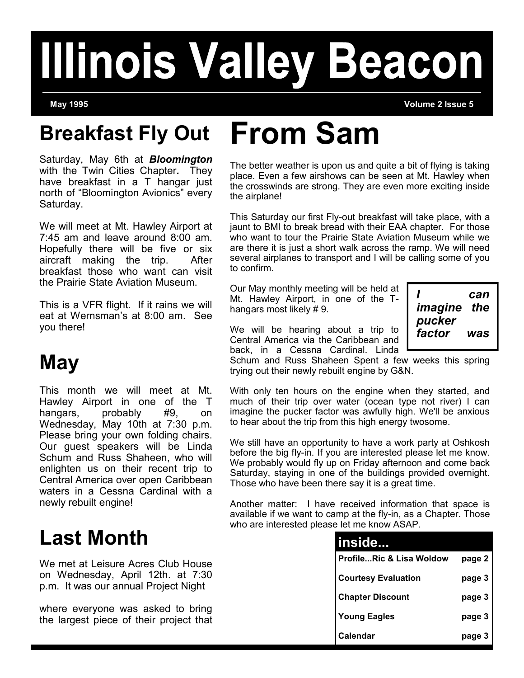# **Illinois Valley Beacon**

**May 1995 Volume 2 Issue 5**

# **Breakfast Fly Out From Sam**

Saturday, May 6th at *Bloomington*  with the Twin Cities Chapter*.* They have breakfast in a T hangar just north of "Bloomington Avionics" every Saturday.

We will meet at Mt. Hawley Airport at 7:45 am and leave around 8:00 am. Hopefully there will be five or six aircraft making the trip. After breakfast those who want can visit the Prairie State Aviation Museum.

This is a VFR flight. If it rains we will eat at Wernsman's at 8:00 am. See you there!

## **May**

This month we will meet at Mt. Hawley Airport in one of the T hangars, probably #9, on Wednesday, May 10th at 7:30 p.m. Please bring your own folding chairs. Our guest speakers will be Linda Schum and Russ Shaheen, who will enlighten us on their recent trip to Central America over open Caribbean waters in a Cessna Cardinal with a newly rebuilt engine!

### **Last Month**

We met at Leisure Acres Club House on Wednesday, April 12th. at 7:30 p.m. It was our annual Project Night

where everyone was asked to bring the largest piece of their project that

The better weather is upon us and quite a bit of flying is taking place. Even a few airshows can be seen at Mt. Hawley when the crosswinds are strong. They are even more exciting inside the airplane!

This Saturday our first Fly-out breakfast will take place, with a jaunt to BMI to break bread with their EAA chapter. For those who want to tour the Prairie State Aviation Museum while we are there it is just a short walk across the ramp. We will need several airplanes to transport and I will be calling some of you to confirm.

Our May monthly meeting will be held at Mt. Hawley Airport, in one of the Thangars most likely # 9.

*I can imagine the pucker factor was* 

We will be hearing about a trip to Central America via the Caribbean and back, in a Cessna Cardinal. Linda

Schum and Russ Shaheen Spent a few weeks this spring trying out their newly rebuilt engine by G&N.

With only ten hours on the engine when they started, and much of their trip over water (ocean type not river) I can imagine the pucker factor was awfully high. We'll be anxious to hear about the trip from this high energy twosome.

We still have an opportunity to have a work party at Oshkosh before the big fly-in. If you are interested please let me know. We probably would fly up on Friday afternoon and come back Saturday, staying in one of the buildings provided overnight. Those who have been there say it is a great time.

Another matter: I have received information that space is available if we want to camp at the fly-in, as a Chapter. Those who are interested please let me know ASAP.

| inside                     |        |
|----------------------------|--------|
| ProfileRic & Lisa Woldow   | page 2 |
| <b>Courtesy Evaluation</b> | page 3 |
| <b>Chapter Discount</b>    | page 3 |
| <b>Young Eagles</b>        | page 3 |
| Calendar                   | page 3 |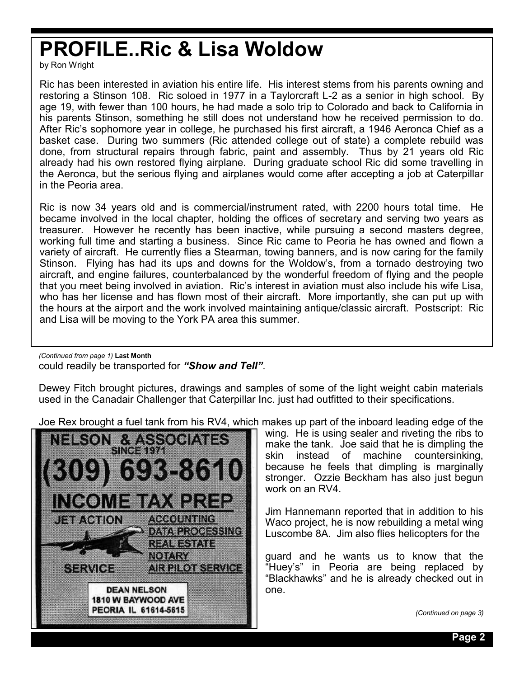### **PROFILE..Ric & Lisa Woldow**

by Ron Wright

Ric has been interested in aviation his entire life. His interest stems from his parents owning and restoring a Stinson 108. Ric soloed in 1977 in a Taylorcraft L-2 as a senior in high school. By age 19, with fewer than 100 hours, he had made a solo trip to Colorado and back to California in his parents Stinson, something he still does not understand how he received permission to do. After Ric's sophomore year in college, he purchased his first aircraft, a 1946 Aeronca Chief as a basket case. During two summers (Ric attended college out of state) a complete rebuild was done, from structural repairs through fabric, paint and assembly. Thus by 21 years old Ric already had his own restored flying airplane. During graduate school Ric did some travelling in the Aeronca, but the serious flying and airplanes would come after accepting a job at Caterpillar in the Peoria area.

Ric is now 34 years old and is commercial/instrument rated, with 2200 hours total time. He became involved in the local chapter, holding the offices of secretary and serving two years as treasurer. However he recently has been inactive, while pursuing a second masters degree, working full time and starting a business. Since Ric came to Peoria he has owned and flown a variety of aircraft. He currently flies a Stearman, towing banners, and is now caring for the family Stinson. Flying has had its ups and downs for the Woldow's, from a tornado destroying two aircraft, and engine failures, counterbalanced by the wonderful freedom of flying and the people that you meet being involved in aviation. Ric's interest in aviation must also include his wife Lisa, who has her license and has flown most of their aircraft. More importantly, she can put up with the hours at the airport and the work involved maintaining antique/classic aircraft. Postscript: Ric and Lisa will be moving to the York PA area this summer.

could readily be transported for *"Show and Tell"*. *(Continued from page 1)* **Last Month**

Dewey Fitch brought pictures, drawings and samples of some of the light weight cabin materials used in the Canadair Challenger that Caterpillar Inc. just had outfitted to their specifications.

Joe Rex brought a fuel tank from his RV4, which makes up part of the inboard leading edge of the



wing. He is using sealer and riveting the ribs to make the tank. Joe said that he is dimpling the skin instead of machine countersinking, because he feels that dimpling is marginally stronger. Ozzie Beckham has also just begun work on an RV4.

Jim Hannemann reported that in addition to his Waco project, he is now rebuilding a metal wing Luscombe 8A. Jim also flies helicopters for the

guard and he wants us to know that the "Huey's" in Peoria are being replaced by "Blackhawks" and he is already checked out in one.

*(Continued on page 3)*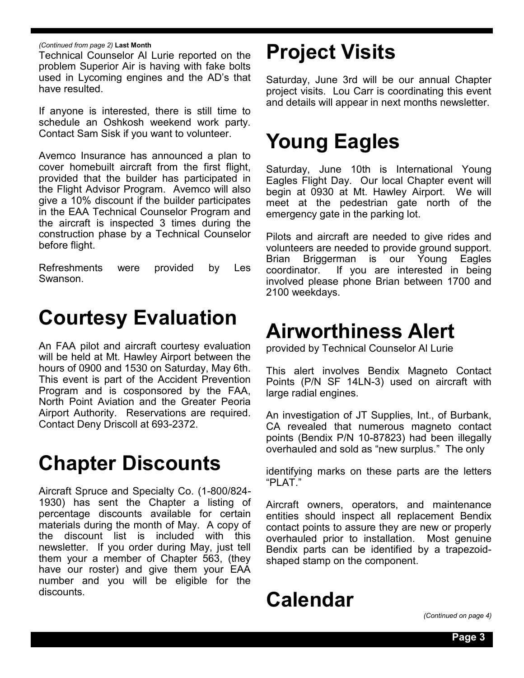Technical Counselor Al Lurie reported on the problem Superior Air is having with fake bolts used in Lycoming engines and the AD's that have resulted.

If anyone is interested, there is still time to schedule an Oshkosh weekend work party. Contact Sam Sisk if you want to volunteer.

Avemco Insurance has announced a plan to cover homebuilt aircraft from the first flight, provided that the builder has participated in the Flight Advisor Program. Avemco will also give a 10% discount if the builder participates in the EAA Technical Counselor Program and the aircraft is inspected 3 times during the construction phase by a Technical Counselor before flight.

Refreshments were provided by Les Swanson.

### **Courtesy Evaluation**

An FAA pilot and aircraft courtesy evaluation will be held at Mt. Hawley Airport between the hours of 0900 and 1530 on Saturday, May 6th. This event is part of the Accident Prevention Program and is cosponsored by the FAA, North Point Aviation and the Greater Peoria Airport Authority. Reservations are required. Contact Deny Driscoll at 693-2372.

### **Chapter Discounts**

Aircraft Spruce and Specialty Co. (1-800/824- 1930) has sent the Chapter a listing of percentage discounts available for certain materials during the month of May. A copy of the discount list is included with this newsletter. If you order during May, just tell them your a member of Chapter 563, (they have our roster) and give them your EAA number and you will be eligible for the discounts.

### *(Continued from page 2)* Last Month<br>Technical Counselor Al Lurie reported on the **Project Visits**

Saturday, June 3rd will be our annual Chapter project visits. Lou Carr is coordinating this event and details will appear in next months newsletter.

### **Young Eagles**

Saturday, June 10th is International Young Eagles Flight Day. Our local Chapter event will begin at 0930 at Mt. Hawley Airport. We will meet at the pedestrian gate north of the emergency gate in the parking lot.

Pilots and aircraft are needed to give rides and volunteers are needed to provide ground support. Brian Briggerman is our Young Eagles coordinator. If you are interested in being involved please phone Brian between 1700 and 2100 weekdays.

### **Airworthiness Alert**

provided by Technical Counselor Al Lurie

This alert involves Bendix Magneto Contact Points (P/N SF 14LN-3) used on aircraft with large radial engines.

An investigation of JT Supplies, Int., of Burbank, CA revealed that numerous magneto contact points (Bendix P/N 10-87823) had been illegally overhauled and sold as "new surplus." The only

identifying marks on these parts are the letters "PLAT."

Aircraft owners, operators, and maintenance entities should inspect all replacement Bendix contact points to assure they are new or properly overhauled prior to installation. Most genuine Bendix parts can be identified by a trapezoidshaped stamp on the component.

### **Calendar**

*(Continued on page 4)*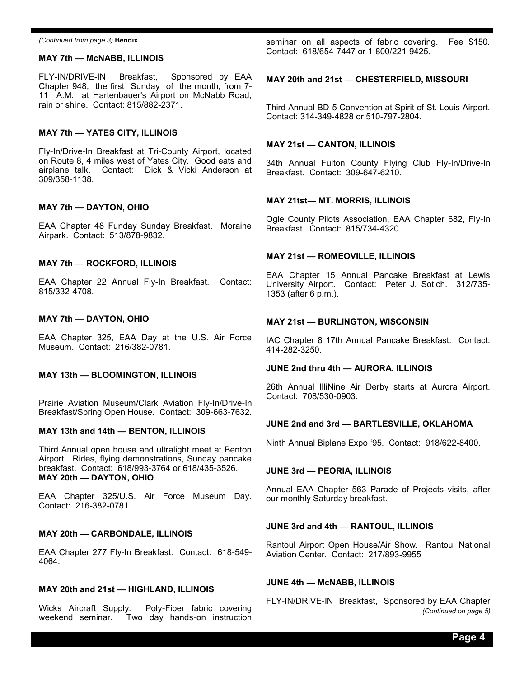#### **MAY 7th — McNABB, ILLINOIS**

FLY-IN/DRIVE-IN Breakfast, Sponsored by EAA Chapter 948, the first Sunday of the month, from 7- 11 A.M. at Hartenbauer's Airport on McNabb Road, rain or shine. Contact: 815/882-2371.

#### **MAY 7th — YATES CITY, ILLINOIS**

Fly-In/Drive-In Breakfast at Tri-County Airport, located on Route 8, 4 miles west of Yates City. Good eats and airplane talk. Contact: Dick & Vicki Anderson at 309/358-1138.

#### **MAY 7th — DAYTON, OHIO**

EAA Chapter 48 Funday Sunday Breakfast. Moraine Airpark. Contact: 513/878-9832.

#### **MAY 7th — ROCKFORD, ILLINOIS**

EAA Chapter 22 Annual Fly-In Breakfast. Contact: 815/332-4708.

#### **MAY 7th — DAYTON, OHIO**

EAA Chapter 325, EAA Day at the U.S. Air Force Museum. Contact: 216/382-0781.

#### **MAY 13th — BLOOMINGTON, ILLINOIS**

Prairie Aviation Museum/Clark Aviation Fly-In/Drive-In Breakfast/Spring Open House. Contact: 309-663-7632.

#### **MAY 13th and 14th — BENTON, ILLINOIS**

Third Annual open house and ultralight meet at Benton Airport. Rides, flying demonstrations, Sunday pancake breakfast. Contact: 618/993-3764 or 618/435-3526. **MAY 20th — DAYTON, OHIO**

EAA Chapter 325/U.S. Air Force Museum Day. Contact: 216-382-0781.

#### **MAY 20th — CARBONDALE, ILLINOIS**

EAA Chapter 277 Fly-In Breakfast. Contact: 618-549- 4064.

#### **MAY 20th and 21st — HIGHLAND, ILLINOIS**

Wicks Aircraft Supply. Poly-Fiber fabric covering weekend seminar. Two day hands-on instruction

*(Continued from page 3)* Bendix **seminar** on all aspects of fabric covering. Fee \$150. Contact: 618/654-7447 or 1-800/221-9425.

#### **MAY 20th and 21st — CHESTERFIELD, MISSOURI**

Third Annual BD-5 Convention at Spirit of St. Louis Airport. Contact: 314-349-4828 or 510-797-2804.

#### **MAY 21st — CANTON, ILLINOIS**

34th Annual Fulton County Flying Club Fly-In/Drive-In Breakfast. Contact: 309-647-6210.

#### **MAY 21tst— MT. MORRIS, ILLINOIS**

Ogle County Pilots Association, EAA Chapter 682, Fly-In Breakfast. Contact: 815/734-4320.

#### **MAY 21st — ROMEOVILLE, ILLINOIS**

EAA Chapter 15 Annual Pancake Breakfast at Lewis University Airport. Contact: Peter J. Sotich. 312/735- 1353 (after 6 p.m.).

#### **MAY 21st — BURLINGTON, WISCONSIN**

IAC Chapter 8 17th Annual Pancake Breakfast. Contact: 414-282-3250.

#### **JUNE 2nd thru 4th — AURORA, ILLINOIS**

26th Annual IlliNine Air Derby starts at Aurora Airport. Contact: 708/530-0903.

#### **JUNE 2nd and 3rd — BARTLESVILLE, OKLAHOMA**

Ninth Annual Biplane Expo '95. Contact: 918/622-8400.

#### **JUNE 3rd — PEORIA, ILLINOIS**

Annual EAA Chapter 563 Parade of Projects visits, after our monthly Saturday breakfast.

#### **JUNE 3rd and 4th — RANTOUL, ILLINOIS**

Rantoul Airport Open House/Air Show. Rantoul National Aviation Center. Contact: 217/893-9955

#### **JUNE 4th — McNABB, ILLINOIS**

FLY-IN/DRIVE-IN Breakfast, Sponsored by EAA Chapter *(Continued on page 5)*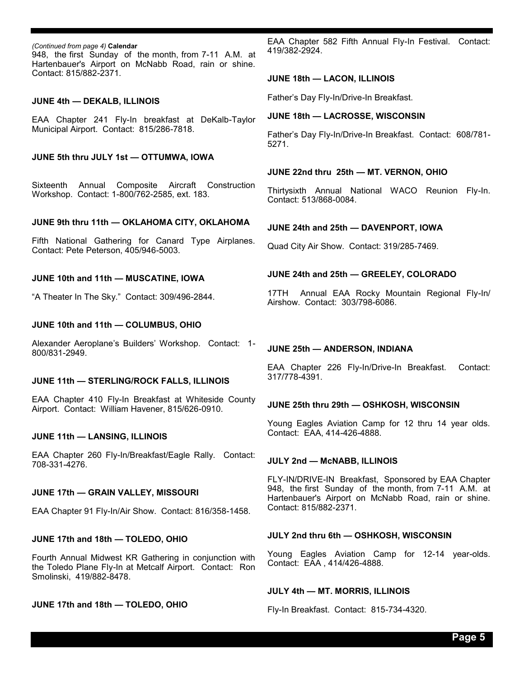(Continued from page 4) Calendar<br>948, the first Sunday of the month, from 7-11 A.M. at Hartenbauer's Airport on McNabb Road, rain or shine. Contact: 815/882-2371.

#### **JUNE 4th — DEKALB, ILLINOIS**

EAA Chapter 241 Fly-In breakfast at DeKalb-Taylor Municipal Airport. Contact: 815/286-7818.

#### **JUNE 5th thru JULY 1st — OTTUMWA, IOWA**

Sixteenth Annual Composite Aircraft Construction Workshop. Contact: 1-800/762-2585, ext. 183.

#### **JUNE 9th thru 11th — OKLAHOMA CITY, OKLAHOMA**

Fifth National Gathering for Canard Type Airplanes. Contact: Pete Peterson, 405/946-5003.

#### **JUNE 10th and 11th — MUSCATINE, IOWA**

"A Theater In The Sky." Contact: 309/496-2844.

#### **JUNE 10th and 11th — COLUMBUS, OHIO**

Alexander Aeroplane's Builders' Workshop. Contact: 1- 800/831-2949.

#### **JUNE 11th — STERLING/ROCK FALLS, ILLINOIS**

EAA Chapter 410 Fly-In Breakfast at Whiteside County Airport. Contact: William Havener, 815/626-0910.

#### **JUNE 11th — LANSING, ILLINOIS**

EAA Chapter 260 Fly-In/Breakfast/Eagle Rally. Contact: 708-331-4276.

#### **JUNE 17th — GRAIN VALLEY, MISSOURI**

EAA Chapter 91 Fly-In/Air Show. Contact: 816/358-1458.

#### **JUNE 17th and 18th — TOLEDO, OHIO**

Fourth Annual Midwest KR Gathering in conjunction with the Toledo Plane Fly-In at Metcalf Airport. Contact: Ron Smolinski, 419/882-8478.

#### **JUNE 17th and 18th — TOLEDO, OHIO**

EAA Chapter 582 Fifth Annual Fly-In Festival. Contact: 419/382-2924.

#### **JUNE 18th — LACON, ILLINOIS**

Father's Day Fly-In/Drive-In Breakfast.

#### **JUNE 18th — LACROSSE, WISCONSIN**

Father's Day Fly-In/Drive-In Breakfast. Contact: 608/781- 5271.

#### **JUNE 22nd thru 25th — MT. VERNON, OHIO**

Thirtysixth Annual National WACO Reunion Fly-In. Contact: 513/868-0084.

#### **JUNE 24th and 25th — DAVENPORT, IOWA**

Quad City Air Show. Contact: 319/285-7469.

#### **JUNE 24th and 25th — GREELEY, COLORADO**

17TH Annual EAA Rocky Mountain Regional Fly-In/ Airshow. Contact: 303/798-6086.

#### **JUNE 25th — ANDERSON, INDIANA**

EAA Chapter 226 Fly-In/Drive-In Breakfast. Contact: 317/778-4391.

#### **JUNE 25th thru 29th — OSHKOSH, WISCONSIN**

Young Eagles Aviation Camp for 12 thru 14 year olds. Contact: EAA, 414-426-4888.

#### **JULY 2nd — McNABB, ILLINOIS**

FLY-IN/DRIVE-IN Breakfast, Sponsored by EAA Chapter 948, the first Sunday of the month, from 7-11 A.M. at Hartenbauer's Airport on McNabb Road, rain or shine. Contact: 815/882-2371.

#### **JULY 2nd thru 6th — OSHKOSH, WISCONSIN**

Young Eagles Aviation Camp for 12-14 year-olds. Contact: EAA , 414/426-4888.

#### **JULY 4th — MT. MORRIS, ILLINOIS**

Fly-In Breakfast. Contact: 815-734-4320.